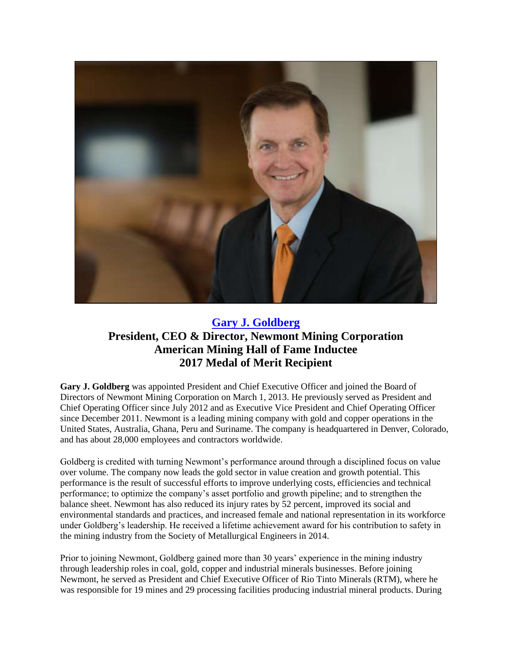

## **[Gary J. Goldberg](https://youtu.be/lx0DMljhsiU) President, CEO & Director, Newmont Mining Corporation American Mining Hall of Fame Inductee 2017 Medal of Merit Recipient**

**Gary J. Goldberg** was appointed President and Chief Executive Officer and joined the Board of Directors of Newmont Mining Corporation on March 1, 2013. He previously served as President and Chief Operating Officer since July 2012 and as Executive Vice President and Chief Operating Officer since December 2011. Newmont is a leading mining company with gold and copper operations in the United States, Australia, Ghana, Peru and Suriname. The company is headquartered in Denver, Colorado, and has about 28,000 employees and contractors worldwide.

Goldberg is credited with turning Newmont's performance around through a disciplined focus on value over volume. The company now leads the gold sector in value creation and growth potential. This performance is the result of successful efforts to improve underlying costs, efficiencies and technical performance; to optimize the company's asset portfolio and growth pipeline; and to strengthen the balance sheet. Newmont has also reduced its injury rates by 52 percent, improved its social and environmental standards and practices, and increased female and national representation in its workforce under Goldberg's leadership. He received a lifetime achievement award for his contribution to safety in the mining industry from the Society of Metallurgical Engineers in 2014.

Prior to joining Newmont, Goldberg gained more than 30 years' experience in the mining industry through leadership roles in coal, gold, copper and industrial minerals businesses. Before joining Newmont, he served as President and Chief Executive Officer of Rio Tinto Minerals (RTM), where he was responsible for 19 mines and 29 processing facilities producing industrial mineral products. During